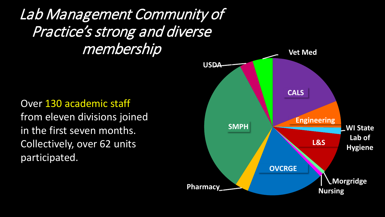Lab Management Community of Practice's strong and diverse membership

Over 130 academic staff from eleven divisions joined in the first seven months. Collectively, over 62 units participated.

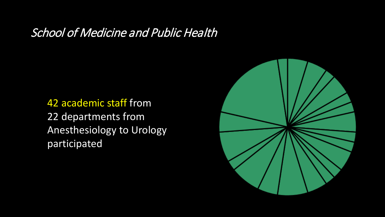#### School of Medicine and Public Health

42 academic staff from 22 departments from Anesthesiology to Urology participated

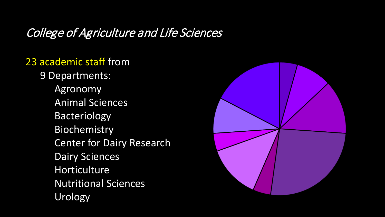## College of Agriculture and Life Sciences

#### 23 academic staff from

- 9 Departments:
	- Agronomy Animal Sciences Bacteriology Biochemistry **Center for Dairy Research** Dairy Sciences Horticulture Nutritional Sciences Urology

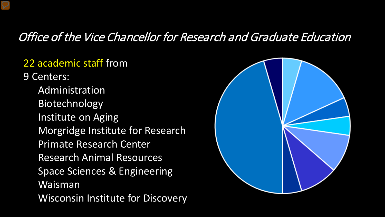#### Office of the Vice Chancellor for Research and Graduate Education

#### 22 academic staff from

9 Centers: Administration Biotechnology Institute on Aging Morgridge Institute for Research Primate Research Center Research Animal Resources Space Sciences & Engineering Waisman Wisconsin Institute for Discovery

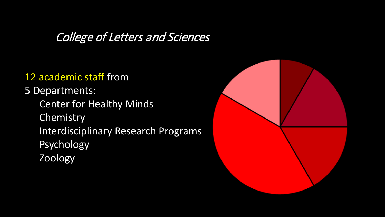#### College of Letters and Sciences

#### 12 academic staff from

5 Departments: Center for Healthy Minds **Chemistry** Interdisciplinary Research Programs Psychology Zoology

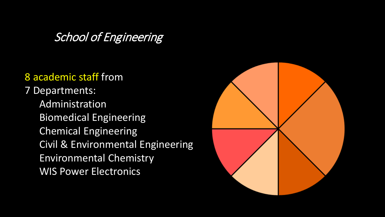#### School of Engineering

#### 8 academic staff from

7 Departments: Administration Biomedical Engineering Chemical Engineering Civil & Environmental Engineering Environmental Chemistry WIS Power Electronics

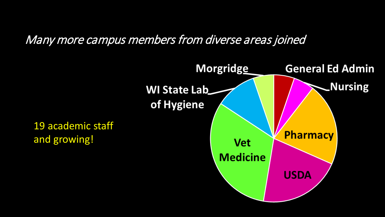#### Many more campus members from diverse areas joined

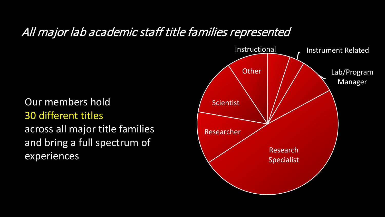#### All major lab academic staff title families represented

# Our members hold

30 different titles

across all major title families and bring a full spectrum of experiences

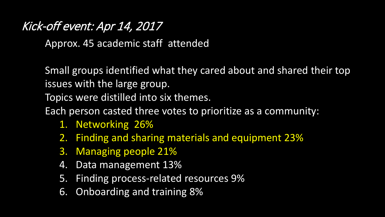### Kick-off event: Apr 14, 2017

Approx. 45 academic staff attended

Small groups identified what they cared about and shared their top issues with the large group.

Topics were distilled into six themes.

Each person casted three votes to prioritize as a community:

- 1. Networking 26%
- 2. Finding and sharing materials and equipment 23%
- 3. Managing people 21%
- 4. Data management 13%
- 5. Finding process-related resources 9%
- 6. Onboarding and training 8%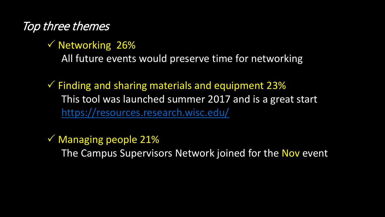## Top three themes

 $\sqrt{N}$ etworking 26% All future events would preserve time for networking

 $\checkmark$  Finding and sharing materials and equipment 23% This tool was launched summer 2017 and is a great start <https://resources.research.wisc.edu/>

 $\sqrt{2}$  Managing people 21% The Campus Supervisors Network joined for the Nov event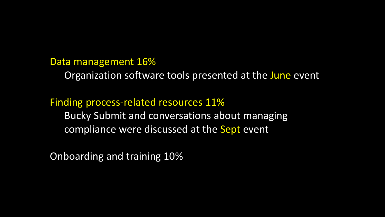Data management 16%

Organization software tools presented at the June event

Finding process-related resources 11% Bucky Submit and conversations about managing compliance were discussed at the Sept event

Onboarding and training 10%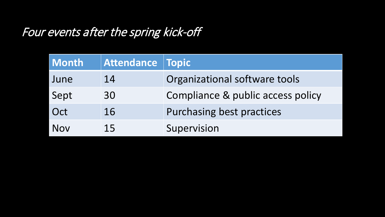## Four events after the spring kick-off

| <b>Month</b> | Attendance Topic |                                   |
|--------------|------------------|-----------------------------------|
| June         | 14               | Organizational software tools     |
| Sept         | 30               | Compliance & public access policy |
| Oct          | 16               | <b>Purchasing best practices</b>  |
| Nov          | 15               | Supervision                       |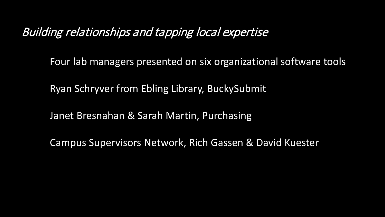#### Building relationships and tapping local expertise

Four lab managers presented on six organizational software tools

Ryan Schryver from Ebling Library, BuckySubmit

Janet Bresnahan & Sarah Martin, Purchasing

Campus Supervisors Network, Rich Gassen & David Kuester